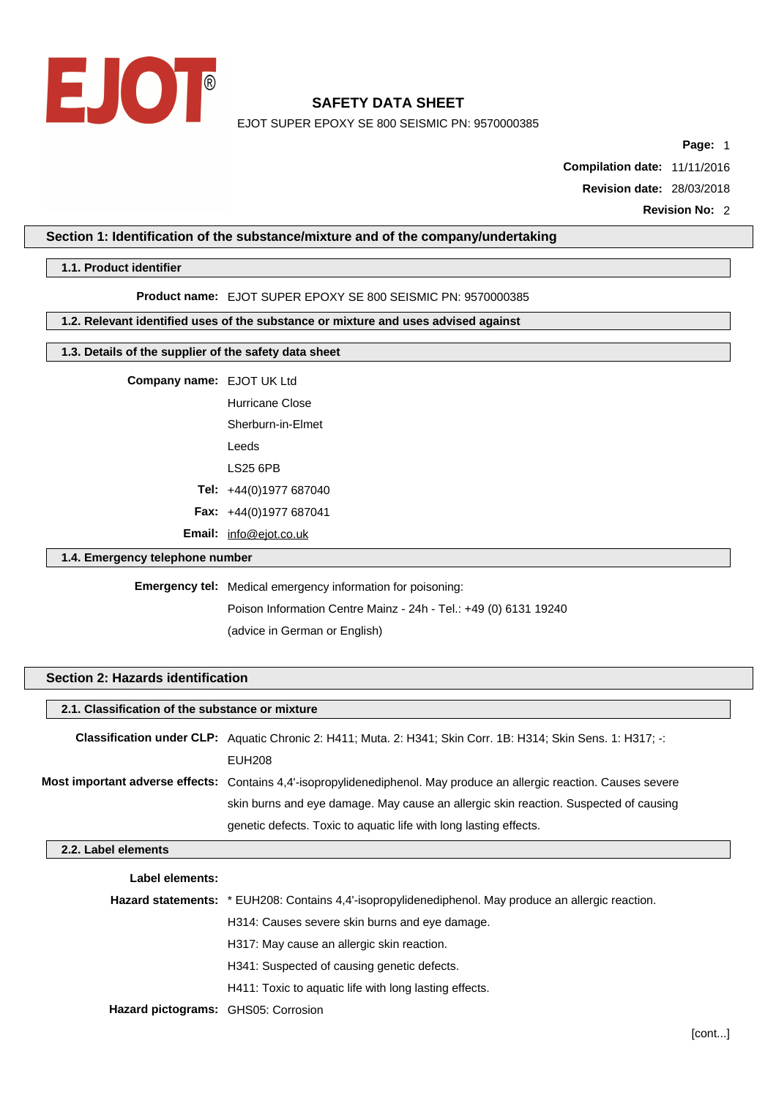

EJOT SUPER EPOXY SE 800 SEISMIC PN: 9570000385

**Page:** 1

**Compilation date:** 11/11/2016 **Revision date:** 28/03/2018

**Revision No:** 2

### **Section 1: Identification of the substance/mixture and of the company/undertaking**

### **1.1. Product identifier**

#### **Product name:** EJOT SUPER EPOXY SE 800 SEISMIC PN: 9570000385

# **1.2. Relevant identified uses of the substance or mixture and uses advised against**

# **1.3. Details of the supplier of the safety data sheet**

# **Company name:** EJOT UK Ltd

Hurricane Close Sherburn-in-Elmet Leeds LS25 6PB **Tel:** +44(0)1977 687040 **Fax:** +44(0)1977 687041 **Email:** [info@ejot.co.uk](mailto:info@ejot.co.uk)

### **1.4. Emergency telephone number**

# **Emergency tel:** Medical emergency information for poisoning:

Poison Information Centre Mainz - 24h - Tel.: +49 (0) 6131 19240 (advice in German or English)

# **Section 2: Hazards identification**

| 2.1. Classification of the substance or mixture |                                                                                                                       |  |  |  |
|-------------------------------------------------|-----------------------------------------------------------------------------------------------------------------------|--|--|--|
|                                                 | Classification under CLP: Aquatic Chronic 2: H411; Muta. 2: H341; Skin Corr. 1B: H314; Skin Sens. 1: H317; -:         |  |  |  |
|                                                 | <b>EUH208</b>                                                                                                         |  |  |  |
|                                                 | Most important adverse effects: Contains 4,4'-isopropylidenediphenol. May produce an allergic reaction. Causes severe |  |  |  |
|                                                 | skin burns and eye damage. May cause an allergic skin reaction. Suspected of causing                                  |  |  |  |
|                                                 | genetic defects. Toxic to aquatic life with long lasting effects.                                                     |  |  |  |

### **2.2. Label elements**

| Label elements:                     |                                                                                                      |
|-------------------------------------|------------------------------------------------------------------------------------------------------|
|                                     | Hazard statements: * EUH208: Contains 4,4'-isopropylidenediphenol. May produce an allergic reaction. |
|                                     | H314: Causes severe skin burns and eye damage.                                                       |
|                                     | H317: May cause an allergic skin reaction.                                                           |
|                                     | H341: Suspected of causing genetic defects.                                                          |
|                                     | H411: Toxic to aquatic life with long lasting effects.                                               |
| Hazard pictograms: GHS05: Corrosion |                                                                                                      |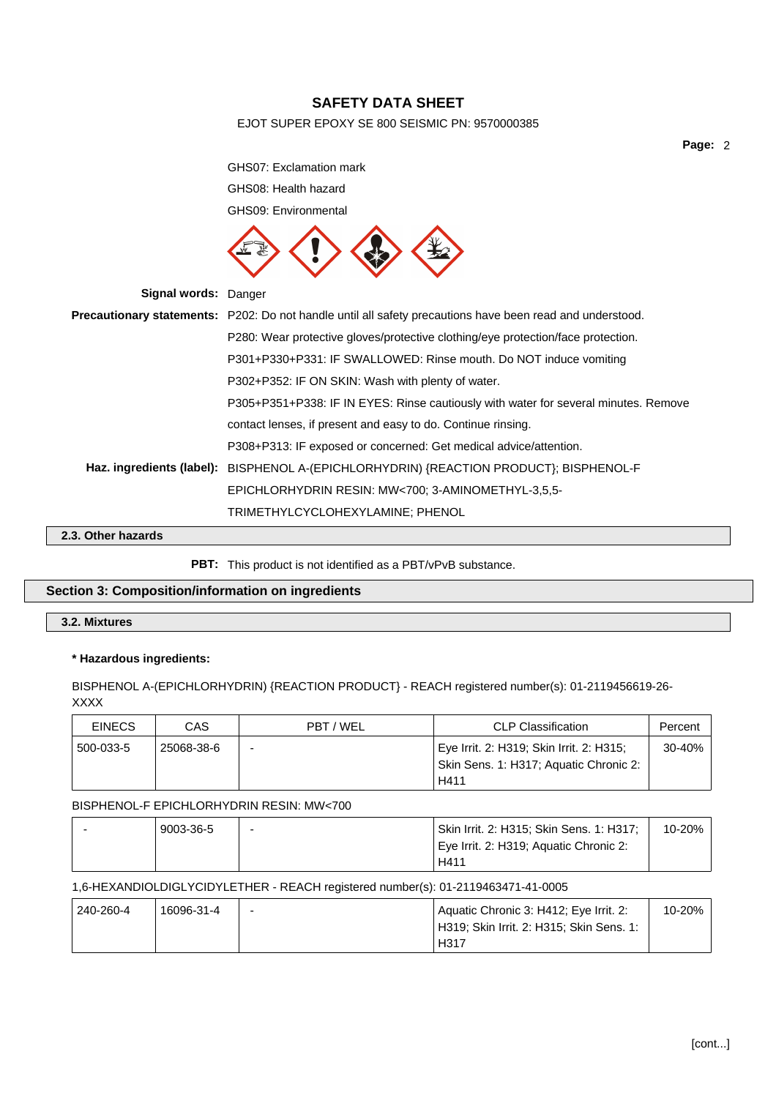# EJOT SUPER EPOXY SE 800 SEISMIC PN: 9570000385

**Page:** 2

GHS07: Exclamation mark GHS08: Health hazard GHS09: Environmental **Signal words:** Danger **Precautionary statements:** P202: Do not handle until all safety precautions have been read and understood. P280: Wear protective gloves/protective clothing/eye protection/face protection. P301+P330+P331: IF SWALLOWED: Rinse mouth. Do NOT induce vomiting P302+P352: IF ON SKIN: Wash with plenty of water. P305+P351+P338: IF IN EYES: Rinse cautiously with water for several minutes. Remove contact lenses, if present and easy to do. Continue rinsing. P308+P313: IF exposed or concerned: Get medical advice/attention. **Haz. ingredients (label):** BISPHENOL A-(EPICHLORHYDRIN) {REACTION PRODUCT}; BISPHENOL-F EPICHLORHYDRIN RESIN: MW<700; 3-AMINOMETHYL-3,5,5- TRIMETHYLCYCLOHEXYLAMINE; PHENOL

### **2.3. Other hazards**

#### **PBT:** This product is not identified as a PBT/vPvB substance.

# **Section 3: Composition/information on ingredients**

# **3.2. Mixtures**

#### **\* Hazardous ingredients:**

BISPHENOL A-(EPICHLORHYDRIN) {REACTION PRODUCT} - REACH registered number(s): 01-2119456619-26- XXXX

| <b>EINECS</b> | CAS        | PBT / WEL                | <b>CLP Classification</b>                                                                  | Percent |
|---------------|------------|--------------------------|--------------------------------------------------------------------------------------------|---------|
| 500-033-5     | 25068-38-6 | $\overline{\phantom{0}}$ | Eye Irrit. 2: H319; Skin Irrit. 2: H315;<br>Skin Sens. 1: H317; Aquatic Chronic 2:<br>H411 | 30-40%  |

#### BISPHENOL-F EPICHLORHYDRIN RESIN: MW<700

| 9003-36-5 | Skin Irrit. 2: H315; Skin Sens. 1: H317; | 10-20% |
|-----------|------------------------------------------|--------|
|           | Eye Irrit. 2: H319; Aquatic Chronic 2:   |        |
|           | H411                                     |        |

### 1,6-HEXANDIOLDIGLYCIDYLETHER - REACH registered number(s): 01-2119463471-41-0005

| 240-260-4 | 16096-31-4 | - | Aquatic Chronic 3: H412; Eye Irrit. 2:                | 10-20%. |
|-----------|------------|---|-------------------------------------------------------|---------|
|           |            |   | <sup>1</sup> H319; Skin Irrit. 2: H315; Skin Sens. 1: |         |
|           |            |   | H317                                                  |         |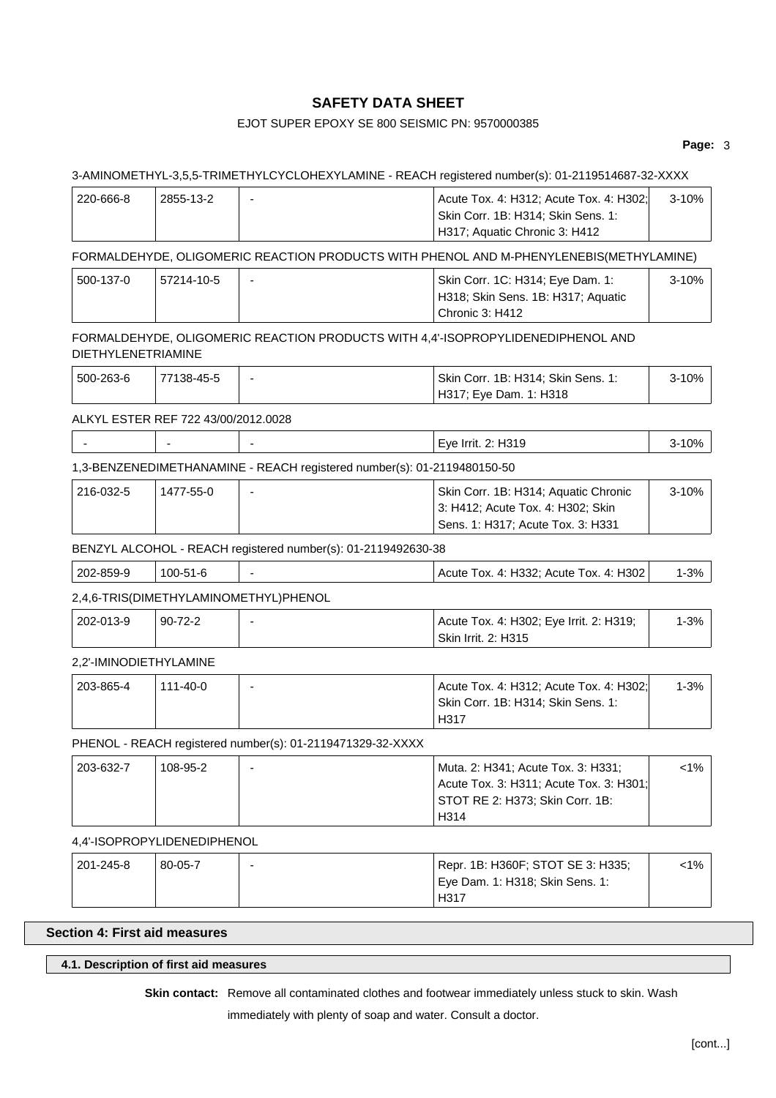# EJOT SUPER EPOXY SE 800 SEISMIC PN: 9570000385

### **Page:** 3

# 3-AMINOMETHYL-3,5,5-TRIMETHYLCYCLOHEXYLAMINE - REACH registered number(s): 01-2119514687-32-XXXX

| 220-666-8                 | 2855-13-2                           | $\blacksquare$                                                          | Acute Tox. 4: H312; Acute Tox. 4: H302;<br>Skin Corr. 1B: H314; Skin Sens. 1:<br>H317; Aquatic Chronic 3: H412           | $3 - 10%$ |
|---------------------------|-------------------------------------|-------------------------------------------------------------------------|--------------------------------------------------------------------------------------------------------------------------|-----------|
|                           |                                     |                                                                         | FORMALDEHYDE, OLIGOMERIC REACTION PRODUCTS WITH PHENOL AND M-PHENYLENEBIS(METHYLAMINE)                                   |           |
| 500-137-0                 | 57214-10-5                          |                                                                         | Skin Corr. 1C: H314; Eye Dam. 1:<br>H318; Skin Sens. 1B: H317; Aquatic<br>Chronic 3: H412                                | $3 - 10%$ |
| <b>DIETHYLENETRIAMINE</b> |                                     |                                                                         | FORMALDEHYDE, OLIGOMERIC REACTION PRODUCTS WITH 4,4'-ISOPROPYLIDENEDIPHENOL AND                                          |           |
| 500-263-6                 | 77138-45-5                          |                                                                         | Skin Corr. 1B: H314; Skin Sens. 1:<br>H317; Eye Dam. 1: H318                                                             | $3 - 10%$ |
|                           | ALKYL ESTER REF 722 43/00/2012.0028 |                                                                         |                                                                                                                          |           |
|                           |                                     |                                                                         | Eye Irrit. 2: H319                                                                                                       | 3-10%     |
|                           |                                     | 1,3-BENZENEDIMETHANAMINE - REACH registered number(s): 01-2119480150-50 |                                                                                                                          |           |
| 216-032-5                 | 1477-55-0                           |                                                                         | Skin Corr. 1B: H314; Aquatic Chronic<br>3: H412; Acute Tox. 4: H302; Skin<br>Sens. 1: H317; Acute Tox. 3: H331           | 3-10%     |
|                           |                                     | BENZYL ALCOHOL - REACH registered number(s): 01-2119492630-38           |                                                                                                                          |           |
| 202-859-9                 | 100-51-6                            |                                                                         | Acute Tox. 4: H332; Acute Tox. 4: H302                                                                                   | $1 - 3%$  |
|                           |                                     | 2,4,6-TRIS(DIMETHYLAMINOMETHYL)PHENOL                                   |                                                                                                                          |           |
| 202-013-9                 | $90 - 72 - 2$                       |                                                                         | Acute Tox. 4: H302; Eye Irrit. 2: H319;<br>Skin Irrit. 2: H315                                                           | $1 - 3%$  |
| 2,2'-IMINODIETHYLAMINE    |                                     |                                                                         |                                                                                                                          |           |
| 203-865-4                 | $111 - 40 - 0$                      |                                                                         | Acute Tox. 4: H312; Acute Tox. 4: H302;<br>Skin Corr. 1B: H314; Skin Sens. 1:<br>H317                                    | $1 - 3%$  |
|                           |                                     | PHENOL - REACH registered number(s): 01-2119471329-32-XXXX              |                                                                                                                          |           |
| 203-632-7                 | 108-95-2                            |                                                                         | Muta. 2: H341; Acute Tox. 3: H331;<br>Acute Tox. 3: H311; Acute Tox. 3: H301;<br>STOT RE 2: H373; Skin Corr. 1B:<br>H314 | <1%       |
|                           | 4,4'-ISOPROPYLIDENEDIPHENOL         |                                                                         |                                                                                                                          |           |
| 201-245-8                 | 80-05-7                             |                                                                         | Repr. 1B: H360F; STOT SE 3: H335;<br>Eye Dam. 1: H318; Skin Sens. 1:                                                     | $< 1\%$   |

# **Section 4: First aid measures**

# **4.1. Description of first aid measures**

**Skin contact:** Remove all contaminated clothes and footwear immediately unless stuck to skin. Wash

H317

immediately with plenty of soap and water. Consult a doctor.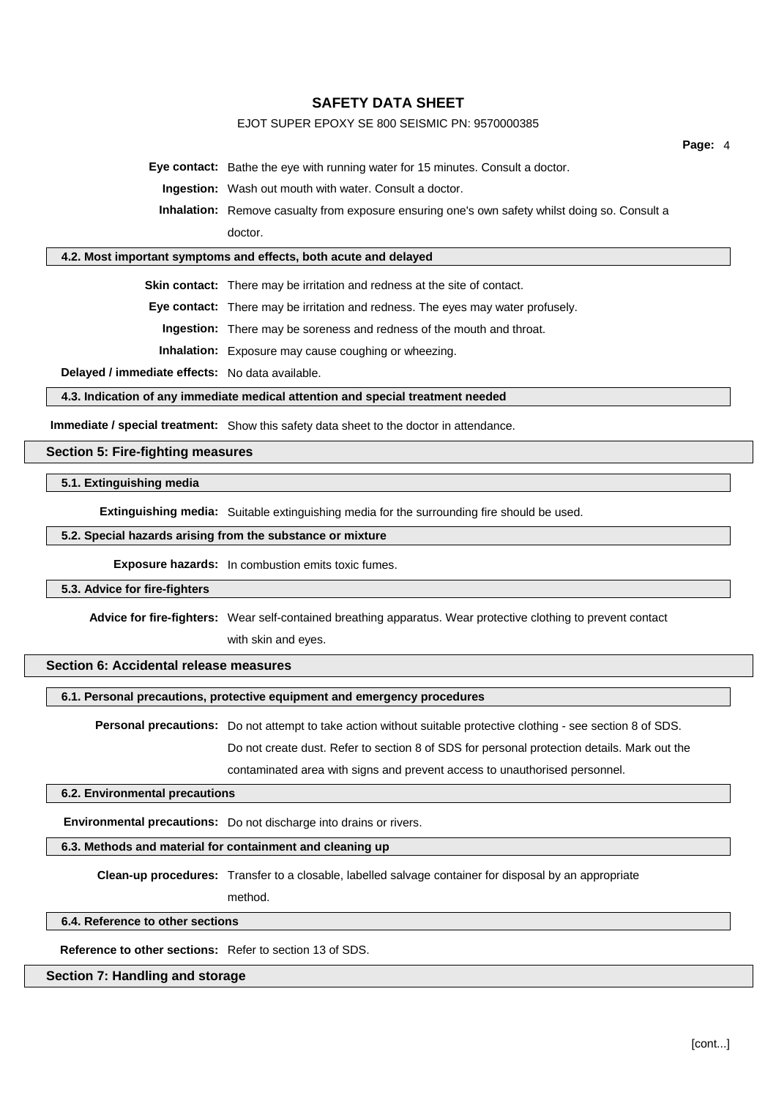# EJOT SUPER EPOXY SE 800 SEISMIC PN: 9570000385

**Eye contact:** Bathe the eye with running water for 15 minutes. Consult a doctor.

**Ingestion:** Wash out mouth with water. Consult a doctor.

**Inhalation:** Remove casualty from exposure ensuring one's own safety whilst doing so. Consult a doctor.

# **4.2. Most important symptoms and effects, both acute and delayed**

**Skin contact:** There may be irritation and redness at the site of contact.

**Eye contact:** There may be irritation and redness. The eyes may water profusely.

**Ingestion:** There may be soreness and redness of the mouth and throat.

**Inhalation:** Exposure may cause coughing or wheezing.

**Delayed / immediate effects:** No data available.

**4.3. Indication of any immediate medical attention and special treatment needed**

**Immediate / special treatment:** Show this safety data sheet to the doctor in attendance.

#### **Section 5: Fire-fighting measures**

#### **5.1. Extinguishing media**

**Extinguishing media:** Suitable extinguishing media for the surrounding fire should be used.

# **5.2. Special hazards arising from the substance or mixture**

**Exposure hazards:** In combustion emits toxic fumes.

#### **5.3. Advice for fire-fighters**

**Advice for fire-fighters:** Wear self-contained breathing apparatus. Wear protective clothing to prevent contact

with skin and eyes.

# **Section 6: Accidental release measures**

### **6.1. Personal precautions, protective equipment and emergency procedures**

**Personal precautions:** Do not attempt to take action without suitable protective clothing - see section 8 of SDS. Do not create dust. Refer to section 8 of SDS for personal protection details. Mark out the contaminated area with signs and prevent access to unauthorised personnel.

#### **6.2. Environmental precautions**

**Environmental precautions:** Do not discharge into drains or rivers.

#### **6.3. Methods and material for containment and cleaning up**

**Clean-up procedures:** Transfer to a closable, labelled salvage container for disposal by an appropriate method.

#### **6.4. Reference to other sections**

**Reference to other sections:** Refer to section 13 of SDS.

# **Section 7: Handling and storage**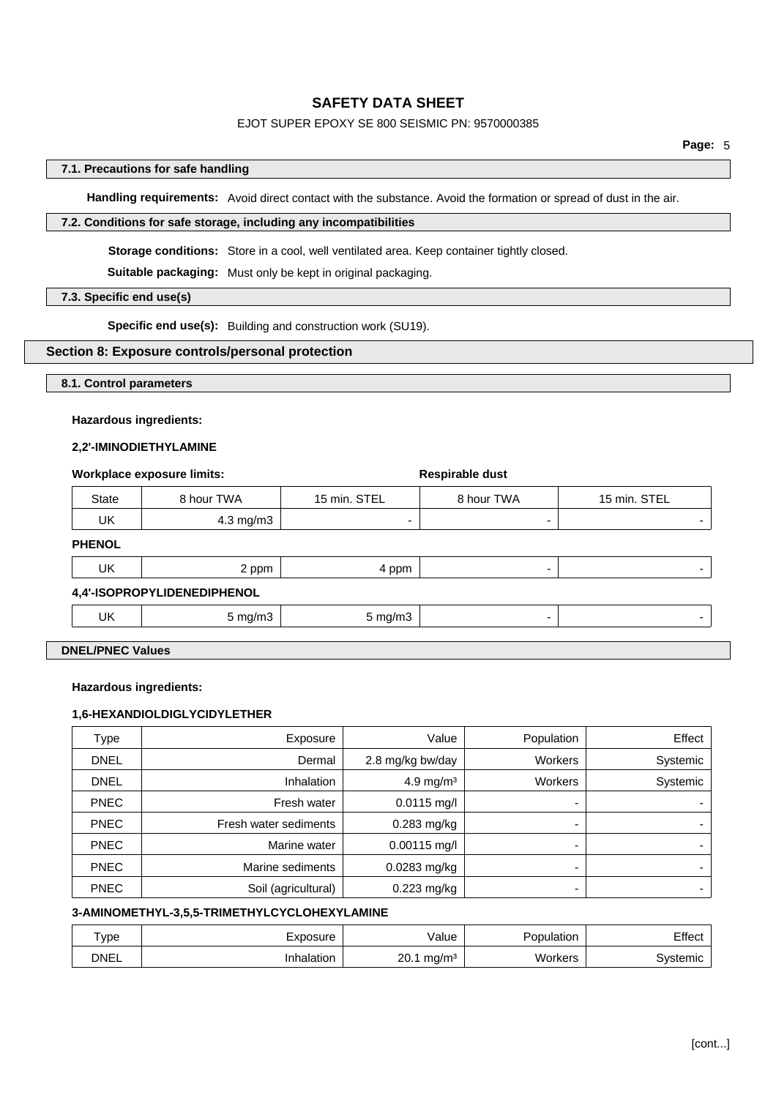# EJOT SUPER EPOXY SE 800 SEISMIC PN: 9570000385

### **7.1. Precautions for safe handling**

**Handling requirements:** Avoid direct contact with the substance. Avoid the formation or spread of dust in the air.

### **7.2. Conditions for safe storage, including any incompatibilities**

**Storage conditions:** Store in a cool, well ventilated area. Keep container tightly closed.

**Suitable packaging:** Must only be kept in original packaging.

## **7.3. Specific end use(s)**

**Specific end use(s):** Building and construction work (SU19).

**Workplace exposure limits: Respirable dust**

#### **Section 8: Exposure controls/personal protection**

#### **8.1. Control parameters**

# **Hazardous ingredients:**

#### **2,2'-IMINODIETHYLAMINE**

|       | <b>WORKDIACE EXPOSURE IIMITS:</b> |              | Respirable dust |              |
|-------|-----------------------------------|--------------|-----------------|--------------|
| State | 8 hour TWA                        | 15 min. STEL | 8 hour TWA      | 15 min. STEL |
| UK    | 4.3 mg/m3                         |              |                 |              |

#### **PHENOL**

| UK | 2 ppm                       | 4 ppm   |   |
|----|-----------------------------|---------|---|
|    | 4,4'-ISOPROPYLIDENEDIPHENOL |         |   |
| UK | 5 mg/m3                     | 5 mg/m3 | - |
|    |                             |         |   |

# **DNEL/PNEC Values**

#### **Hazardous ingredients:**

### **1,6-HEXANDIOLDIGLYCIDYLETHER**

| Type        | Exposure              | Value                 | Population     | Effect   |
|-------------|-----------------------|-----------------------|----------------|----------|
| <b>DNEL</b> | Dermal                | 2.8 mg/kg bw/day      | <b>Workers</b> | Systemic |
| <b>DNEL</b> | <b>Inhalation</b>     | 4.9 mg/m <sup>3</sup> | <b>Workers</b> | Systemic |
| <b>PNEC</b> | Fresh water           | $0.0115$ mg/l         | -              |          |
| <b>PNEC</b> | Fresh water sediments | 0.283 mg/kg           | -              |          |
| <b>PNEC</b> | Marine water          | $0.00115$ mg/l        | -              |          |
| <b>PNEC</b> | Marine sediments      | $0.0283$ mg/kg        | -              |          |
| <b>PNEC</b> | Soil (agricultural)   | $0.223$ mg/kg         | -              |          |

#### **3-AMINOMETHYL-3,5,5-TRIMETHYLCYCLOHEXYLAMINE**

| $rV$ pe     | ∟xposure  | /alue                                 | Population | Effect   |
|-------------|-----------|---------------------------------------|------------|----------|
| <b>DNEL</b> | nhalation | 20. <sup>.</sup><br>mg/m <sup>3</sup> | Workers    | Svstemic |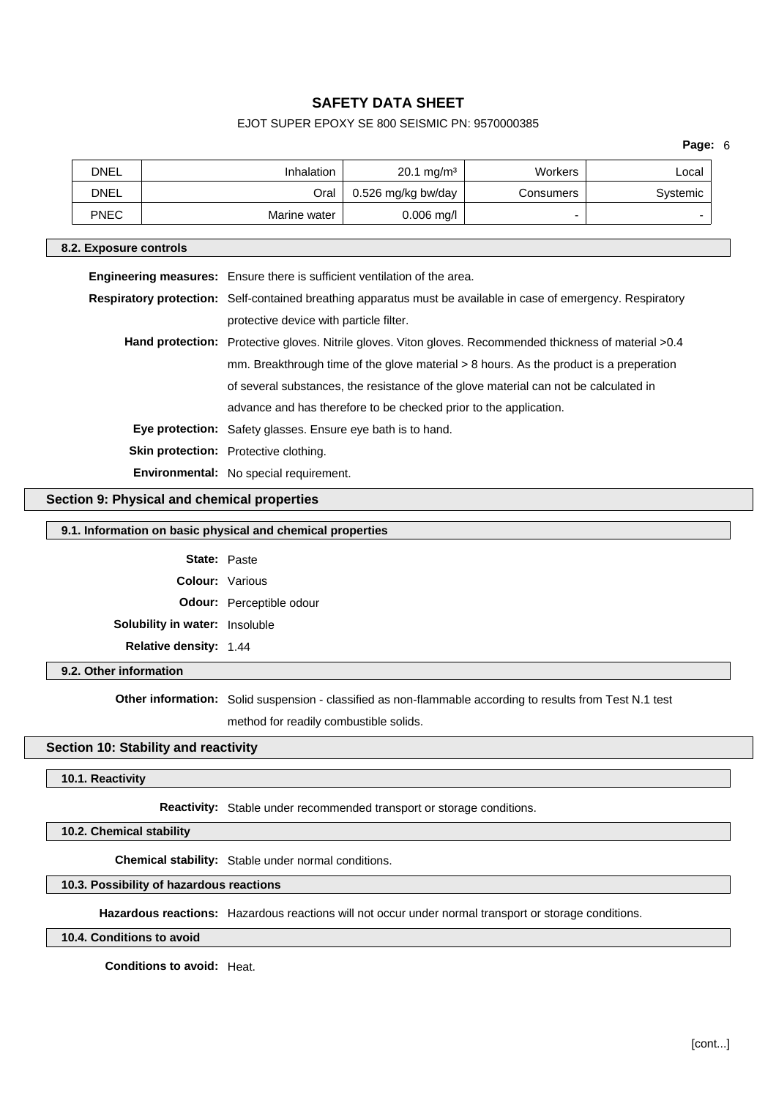# EJOT SUPER EPOXY SE 800 SEISMIC PN: 9570000385

|                                                    | <b>DNEL</b>                                                                      | Inhalation |                                                                                                          | $20.1 \text{ mg/m}^3$                                                                                          | <b>Workers</b> | Local    |  |
|----------------------------------------------------|----------------------------------------------------------------------------------|------------|----------------------------------------------------------------------------------------------------------|----------------------------------------------------------------------------------------------------------------|----------------|----------|--|
|                                                    | <b>DNEL</b>                                                                      |            | Oral                                                                                                     | 0.526 mg/kg bw/day                                                                                             | Consumers      | Systemic |  |
|                                                    | <b>PNEC</b>                                                                      |            | Marine water                                                                                             | $0.006$ mg/l                                                                                                   |                |          |  |
|                                                    | 8.2. Exposure controls                                                           |            |                                                                                                          |                                                                                                                |                |          |  |
|                                                    | <b>Engineering measures:</b> Ensure there is sufficient ventilation of the area. |            |                                                                                                          |                                                                                                                |                |          |  |
|                                                    |                                                                                  |            |                                                                                                          | Respiratory protection: Self-contained breathing apparatus must be available in case of emergency. Respiratory |                |          |  |
|                                                    |                                                                                  |            | protective device with particle filter.                                                                  |                                                                                                                |                |          |  |
|                                                    |                                                                                  |            | Hand protection: Protective gloves. Nitrile gloves. Viton gloves. Recommended thickness of material >0.4 |                                                                                                                |                |          |  |
|                                                    |                                                                                  |            | mm. Breakthrough time of the glove material > 8 hours. As the product is a preperation                   |                                                                                                                |                |          |  |
|                                                    |                                                                                  |            | of several substances, the resistance of the glove material can not be calculated in                     |                                                                                                                |                |          |  |
|                                                    |                                                                                  |            | advance and has therefore to be checked prior to the application.                                        |                                                                                                                |                |          |  |
|                                                    |                                                                                  |            | <b>Eye protection:</b> Safety glasses. Ensure eye bath is to hand.                                       |                                                                                                                |                |          |  |
|                                                    | Skin protection: Protective clothing.                                            |            |                                                                                                          |                                                                                                                |                |          |  |
|                                                    | <b>Environmental:</b> No special requirement.                                    |            |                                                                                                          |                                                                                                                |                |          |  |
| <b>Section 9: Physical and chemical properties</b> |                                                                                  |            |                                                                                                          |                                                                                                                |                |          |  |

#### **9.1. Information on basic physical and chemical properties**

| <b>State: Paste</b>                   |                                 |
|---------------------------------------|---------------------------------|
| <b>Colour:</b> Various                |                                 |
|                                       | <b>Odour:</b> Perceptible odour |
| <b>Solubility in water: Insoluble</b> |                                 |
| <b>Relative density: 1.44</b>         |                                 |

#### **9.2. Other information**

**Other information:** Solid suspension - classified as non-flammable according to results from Test N.1 test method for readily combustible solids.

### **Section 10: Stability and reactivity**

#### **10.1. Reactivity**

**Reactivity:** Stable under recommended transport or storage conditions.

**10.2. Chemical stability**

**Chemical stability:** Stable under normal conditions.

### **10.3. Possibility of hazardous reactions**

**Hazardous reactions:** Hazardous reactions will not occur under normal transport or storage conditions.

**10.4. Conditions to avoid**

**Conditions to avoid:** Heat.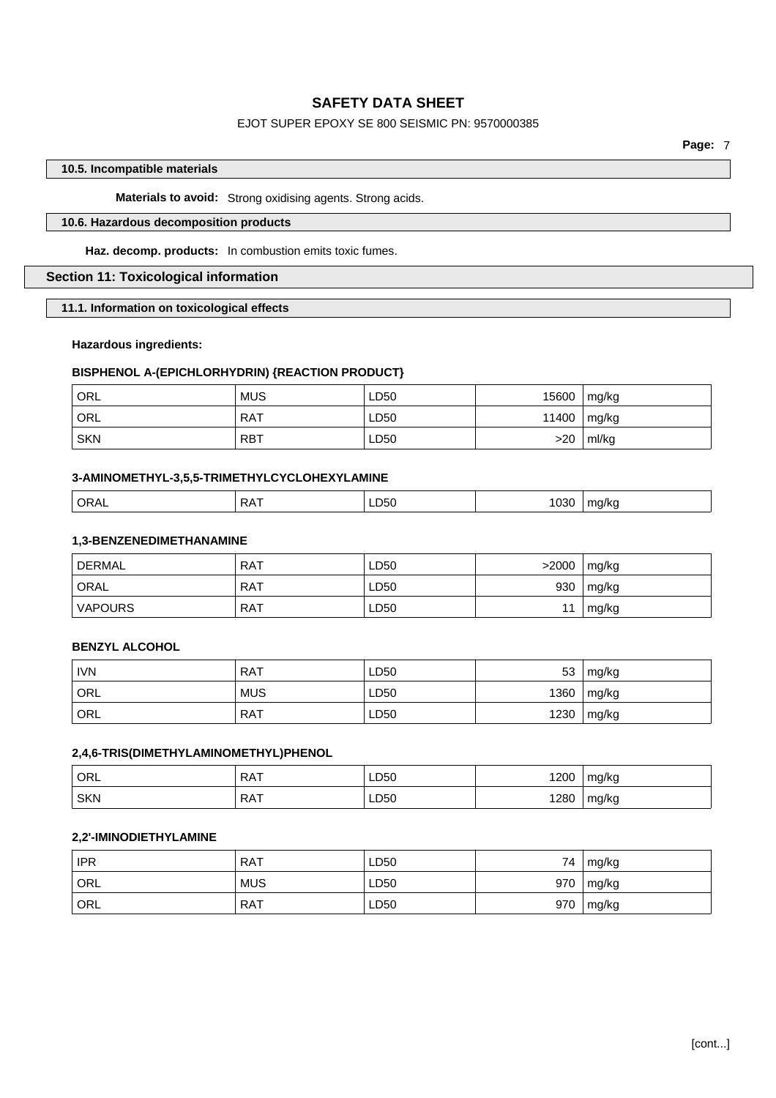# EJOT SUPER EPOXY SE 800 SEISMIC PN: 9570000385

**Page:** 7

# **10.5. Incompatible materials**

# **Materials to avoid:** Strong oxidising agents. Strong acids.

# **10.6. Hazardous decomposition products**

**Haz. decomp. products:** In combustion emits toxic fumes.

### **Section 11: Toxicological information**

**11.1. Information on toxicological effects**

### **Hazardous ingredients:**

# **BISPHENOL A-(EPICHLORHYDRIN) {REACTION PRODUCT}**

| ORL <sup>'</sup> | <b>MUS</b> | LD50 | 15600     | mg/kg |
|------------------|------------|------|-----------|-------|
| ' ORL            | RAT        | LD50 | $11400 +$ | mg/kg |
| <b>SKN</b>       | <b>RBT</b> | LD50 | >20       | ml/kg |

# **3-AMINOMETHYL-3,5,5-TRIMETHYLCYCLOHEXYLAMINE**

|  | ORAL<br>- - -<br>RA. | LD50 | 030 | ma/ka<br>. . |
|--|----------------------|------|-----|--------------|
|--|----------------------|------|-----|--------------|

#### **1,3-BENZENEDIMETHANAMINE**

| <b>DERMAL</b>  | <b>RAT</b> | LD50 | >2000 | mg/kg |
|----------------|------------|------|-------|-------|
| ' ORAL         | RAT        | LD50 | 930   | mg/kg |
| <b>VAPOURS</b> | <b>RAT</b> | LD50 | 11    | mg/kg |

#### **BENZYL ALCOHOL**

| <b>IVN</b>       | <b>RAT</b> | LD50 | 53   | mg/kg |
|------------------|------------|------|------|-------|
| ORL              | <b>MUS</b> | LD50 | 1360 | mg/kg |
| <sup>1</sup> ORL | <b>RAT</b> | LD50 | 1230 | mg/kg |

# **2,4,6-TRIS(DIMETHYLAMINOMETHYL)PHENOL**

| ORL        | <b>RAT</b> | LD50 | 1200 | mg/kg |
|------------|------------|------|------|-------|
| <b>SKN</b> | <b>RAT</b> | LD50 | 1280 | mg/kg |

# **2,2'-IMINODIETHYLAMINE**

| <b>IPR</b> | <b>RAT</b> | LD50 | 74  | mg/kg           |
|------------|------------|------|-----|-----------------|
| ORL        | <b>MUS</b> | LD50 | 970 | $\lfloor$ mg/kg |
| ' ORL      | <b>RAT</b> | LD50 | 970 | $\lfloor$ mg/kg |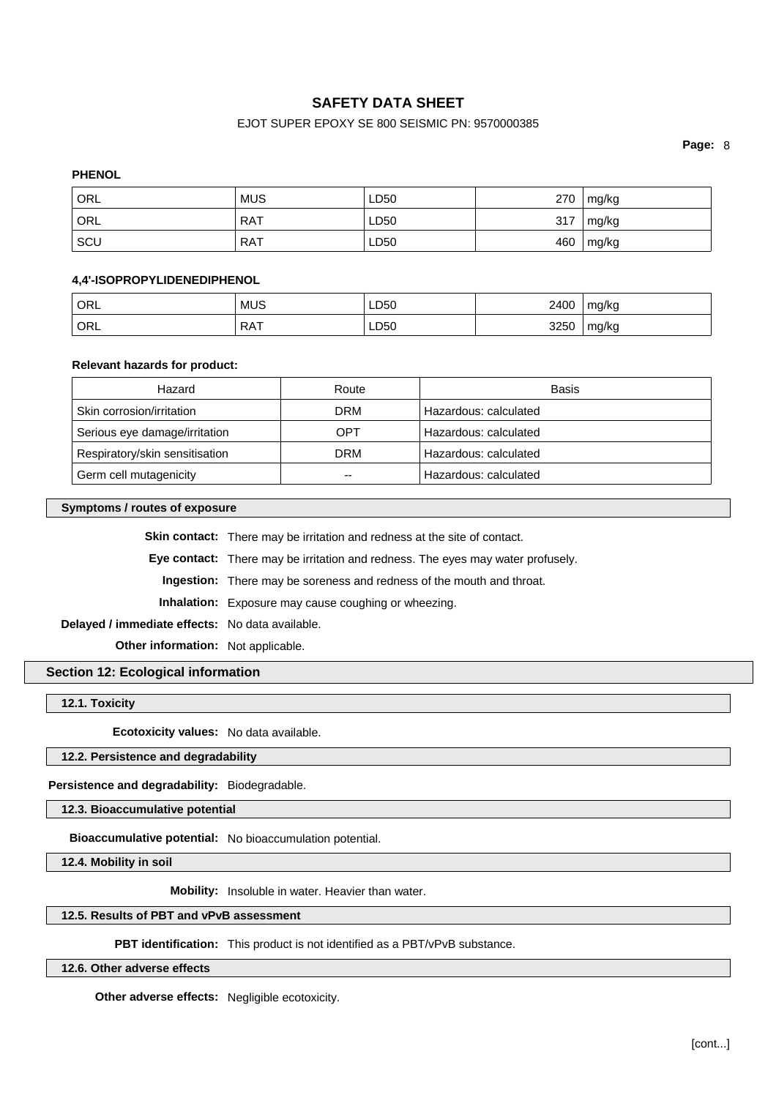# EJOT SUPER EPOXY SE 800 SEISMIC PN: 9570000385

**Page:** 8

# **PHENOL**

| ' ORL | <b>MUS</b> | LD50 | 270 | mg/kg |
|-------|------------|------|-----|-------|
| ORL   | <b>RAT</b> | LD50 | 317 | mg/kg |
| SCL   | <b>RAT</b> | LD50 | 460 | mg/kg |

# **4,4'-ISOPROPYLIDENEDIPHENOL**

| ' ORL      | <b>MUS</b>      | LD50      | 2400 | mg/kg |
|------------|-----------------|-----------|------|-------|
| <b>ORL</b> | <b>RAT</b><br>. | LD50<br>. | 3250 | mg/kg |

### **Relevant hazards for product:**

| Hazard                         | Route      | Basis                 |
|--------------------------------|------------|-----------------------|
| Skin corrosion/irritation      | <b>DRM</b> | Hazardous: calculated |
| Serious eye damage/irritation  | OPT        | Hazardous: calculated |
| Respiratory/skin sensitisation | DRM        | Hazardous: calculated |
| Germ cell mutagenicity         | --         | Hazardous: calculated |

#### **Symptoms / routes of exposure**

**Skin contact:** There may be irritation and redness at the site of contact.

**Eye contact:** There may be irritation and redness. The eyes may water profusely.

**Ingestion:** There may be soreness and redness of the mouth and throat.

**Inhalation:** Exposure may cause coughing or wheezing.

**Delayed / immediate effects:** No data available.

**Other information:** Not applicable.

### **Section 12: Ecological information**

**12.1. Toxicity**

**Ecotoxicity values:** No data available.

#### **12.2. Persistence and degradability**

**Persistence and degradability:** Biodegradable.

**12.3. Bioaccumulative potential**

**Bioaccumulative potential:** No bioaccumulation potential.

**12.4. Mobility in soil**

**Mobility:** Insoluble in water. Heavier than water.

# **12.5. Results of PBT and vPvB assessment**

**PBT identification:** This product is not identified as a PBT/vPvB substance.

**12.6. Other adverse effects**

**Other adverse effects:** Negligible ecotoxicity.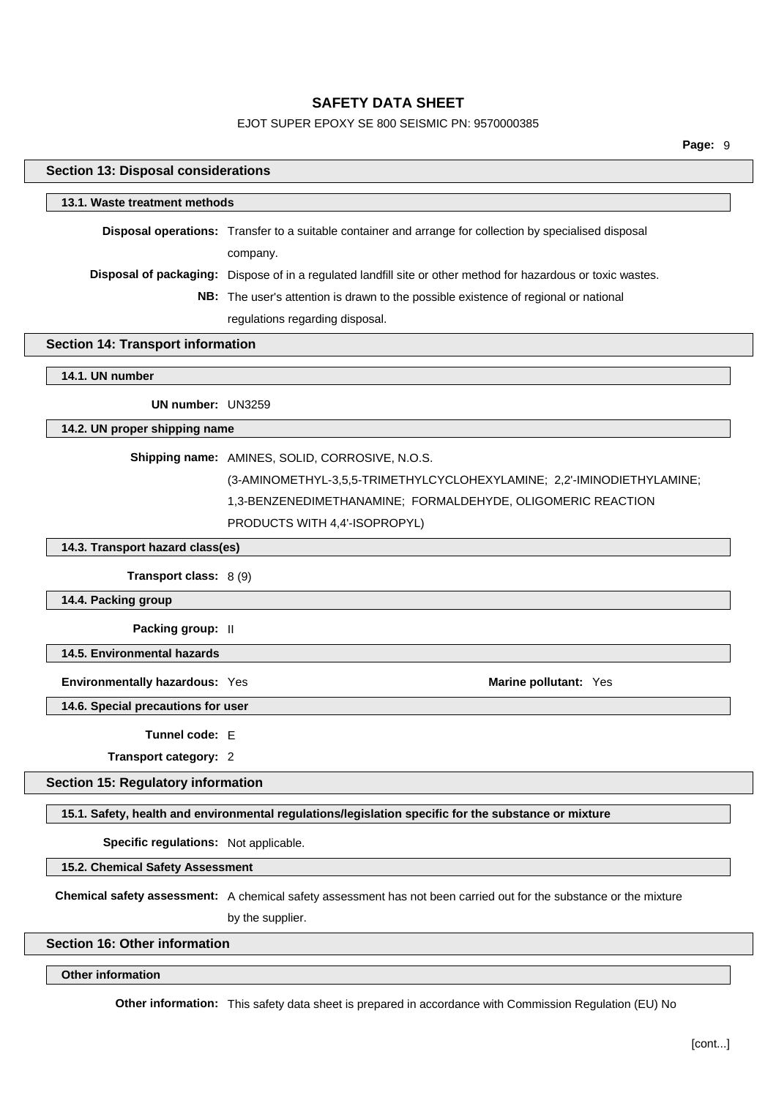# EJOT SUPER EPOXY SE 800 SEISMIC PN: 9570000385

| <b>Section 13: Disposal considerations</b> |                                                                                                                    |  |
|--------------------------------------------|--------------------------------------------------------------------------------------------------------------------|--|
| 13.1. Waste treatment methods              |                                                                                                                    |  |
|                                            | Disposal operations: Transfer to a suitable container and arrange for collection by specialised disposal           |  |
|                                            | company.                                                                                                           |  |
|                                            | Disposal of packaging: Dispose of in a regulated landfill site or other method for hazardous or toxic wastes.      |  |
|                                            | NB: The user's attention is drawn to the possible existence of regional or national                                |  |
|                                            | regulations regarding disposal.                                                                                    |  |
| <b>Section 14: Transport information</b>   |                                                                                                                    |  |
| 14.1. UN number                            |                                                                                                                    |  |
| UN number: UN3259                          |                                                                                                                    |  |
| 14.2. UN proper shipping name              |                                                                                                                    |  |
|                                            | Shipping name: AMINES, SOLID, CORROSIVE, N.O.S.                                                                    |  |
|                                            | (3-AMINOMETHYL-3,5,5-TRIMETHYLCYCLOHEXYLAMINE; 2,2'-IMINODIETHYLAMINE;                                             |  |
|                                            | 1,3-BENZENEDIMETHANAMINE; FORMALDEHYDE, OLIGOMERIC REACTION                                                        |  |
|                                            | PRODUCTS WITH 4,4'-ISOPROPYL)                                                                                      |  |
| 14.3. Transport hazard class(es)           |                                                                                                                    |  |
| Transport class: 8 (9)                     |                                                                                                                    |  |
| 14.4. Packing group                        |                                                                                                                    |  |
| Packing group: II                          |                                                                                                                    |  |
| 14.5. Environmental hazards                |                                                                                                                    |  |
| Environmentally hazardous: Yes             | Marine pollutant: Yes                                                                                              |  |
| 14.6. Special precautions for user         |                                                                                                                    |  |
|                                            |                                                                                                                    |  |
| Tunnel code: F                             |                                                                                                                    |  |
| Transport category: 2                      |                                                                                                                    |  |
| <b>Section 15: Regulatory information</b>  |                                                                                                                    |  |
|                                            | 15.1. Safety, health and environmental regulations/legislation specific for the substance or mixture               |  |
| Specific regulations: Not applicable.      |                                                                                                                    |  |
| 15.2. Chemical Safety Assessment           |                                                                                                                    |  |
|                                            | Chemical safety assessment: A chemical safety assessment has not been carried out for the substance or the mixture |  |
|                                            | by the supplier.                                                                                                   |  |
| <b>Section 16: Other information</b>       |                                                                                                                    |  |
| <b>Other information</b>                   |                                                                                                                    |  |
|                                            |                                                                                                                    |  |

**Other information:** This safety data sheet is prepared in accordance with Commission Regulation (EU) No